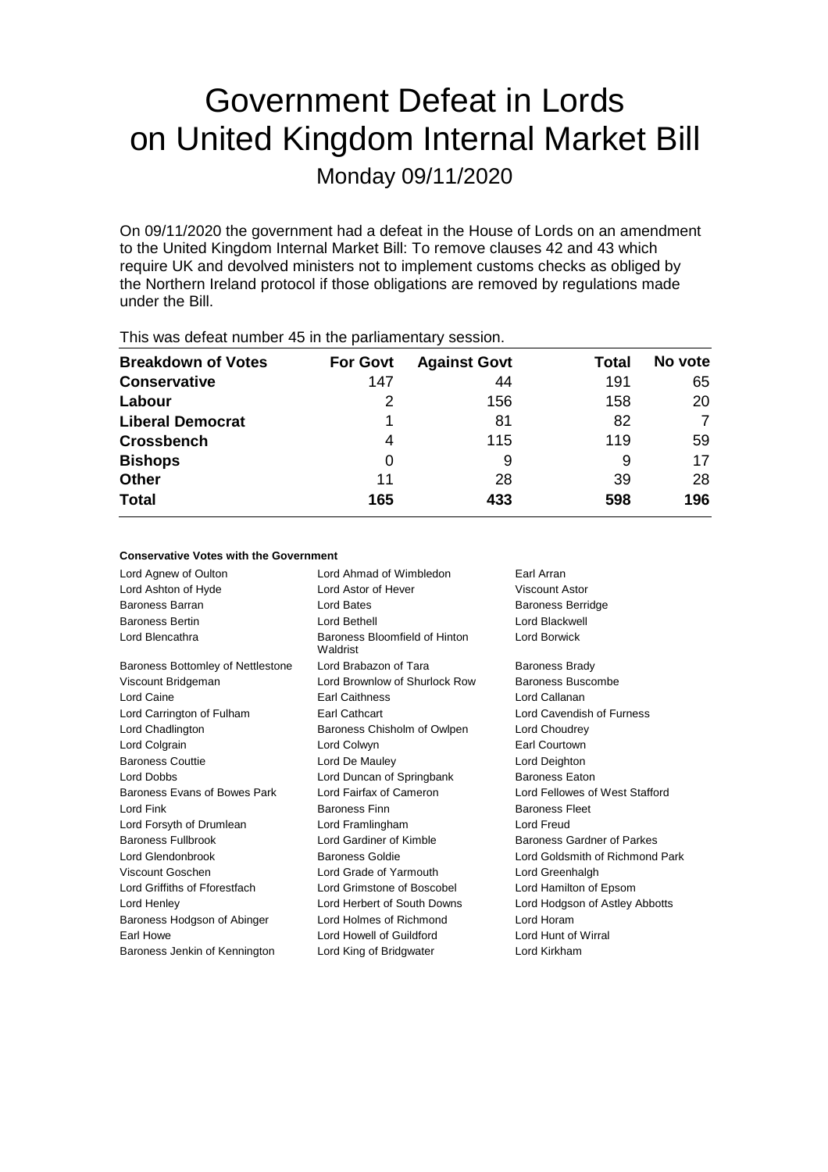# Government Defeat in Lords on United Kingdom Internal Market Bill

Monday 09/11/2020

On 09/11/2020 the government had a defeat in the House of Lords on an amendment to the United Kingdom Internal Market Bill: To remove clauses 42 and 43 which require UK and devolved ministers not to implement customs checks as obliged by the Northern Ireland protocol if those obligations are removed by regulations made under the Bill.

| This was assembly to in the parliamentary seconditi |                 |                     |              |         |  |
|-----------------------------------------------------|-----------------|---------------------|--------------|---------|--|
| <b>Breakdown of Votes</b>                           | <b>For Govt</b> | <b>Against Govt</b> | <b>Total</b> | No vote |  |
| <b>Conservative</b>                                 | 147             | 44                  | 191          | 65      |  |
| Labour                                              |                 | 156                 | 158          | 20      |  |
| <b>Liberal Democrat</b>                             | 1               | 81                  | 82           | 7       |  |
| <b>Crossbench</b>                                   | 4               | 115                 | 119          | 59      |  |
| <b>Bishops</b>                                      | 0               | 9                   | 9            | 17      |  |
| <b>Other</b>                                        | 11              | 28                  | 39           | 28      |  |
| <b>Total</b>                                        | 165             | 433                 | 598          | 196     |  |
|                                                     |                 |                     |              |         |  |

This was defeat number 45 in the parliamentary session.

## **Conservative Votes with the Government**

| Lord Agnew of Oulton              | Lord Ahmad of Wimbledon                   | Earl Arran                      |
|-----------------------------------|-------------------------------------------|---------------------------------|
| Lord Ashton of Hyde               | Lord Astor of Hever                       | <b>Viscount Astor</b>           |
| <b>Baroness Barran</b>            | Lord Bates                                | <b>Baroness Berridge</b>        |
| <b>Baroness Bertin</b>            | Lord Bethell                              | Lord Blackwell                  |
| Lord Blencathra                   | Baroness Bloomfield of Hinton<br>Waldrist | Lord Borwick                    |
| Baroness Bottomley of Nettlestone | Lord Brabazon of Tara                     | <b>Baroness Brady</b>           |
| Viscount Bridgeman                | Lord Brownlow of Shurlock Row             | Baroness Buscombe               |
| Lord Caine                        | <b>Earl Caithness</b>                     | Lord Callanan                   |
| Lord Carrington of Fulham         | <b>Earl Cathcart</b>                      | Lord Cavendish of Furness       |
| Lord Chadlington                  | Baroness Chisholm of Owlpen               | Lord Choudrey                   |
| Lord Colgrain                     | Lord Colwyn                               | <b>Earl Courtown</b>            |
| <b>Baroness Couttie</b>           | Lord De Mauley                            | Lord Deighton                   |
| Lord Dobbs                        | Lord Duncan of Springbank                 | <b>Baroness Eaton</b>           |
| Baroness Evans of Bowes Park      | Lord Fairfax of Cameron                   | Lord Fellowes of West Stafford  |
| Lord Fink                         | <b>Baroness Finn</b>                      | <b>Baroness Fleet</b>           |
| Lord Forsyth of Drumlean          | Lord Framlingham                          | Lord Freud                      |
| <b>Baroness Fullbrook</b>         | Lord Gardiner of Kimble                   | Baroness Gardner of Parkes      |
| Lord Glendonbrook                 | Baroness Goldie                           | Lord Goldsmith of Richmond Park |
| Viscount Goschen                  | Lord Grade of Yarmouth                    | Lord Greenhalgh                 |
| Lord Griffiths of Fforestfach     | Lord Grimstone of Boscobel                | Lord Hamilton of Epsom          |
| Lord Henley                       | Lord Herbert of South Downs               | Lord Hodgson of Astley Abbotts  |
| Baroness Hodgson of Abinger       | Lord Holmes of Richmond                   | Lord Horam                      |
| Earl Howe                         | Lord Howell of Guildford                  | Lord Hunt of Wirral             |
| Baroness Jenkin of Kennington     | Lord King of Bridgwater                   | Lord Kirkham                    |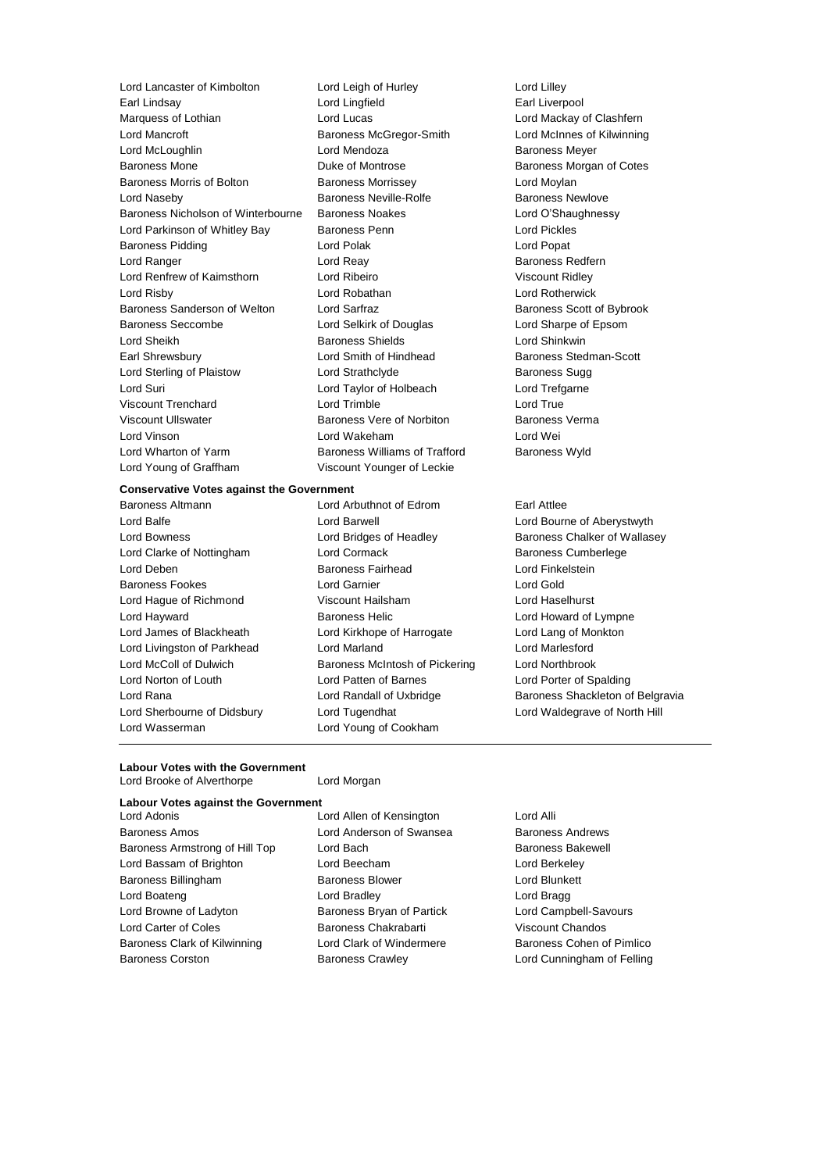Lord Lancaster of Kimbolton Lord Leigh of Hurley Lord Lilley<br>
Lord Lingtield
Lord Lingtield
Lord Lingtield
Lord Lingtield
Lord Lingtield
Lord Lingtield
Lord Lingtiel Earl Lindsay Lord Lingfield Earl Liverpool Marquess of Lothian **Lord Lucas** Lord Lucas **Lord Mackay of Clashfern** Lord Mancroft **Baroness McGregor-Smith** Lord McInnes of Kilwinning Lord McLoughlin Lord Mendoza Baroness Meyer Baroness Mone **Baroness Mone Duke of Montrose Baroness Morgan of Cotes** Baroness Morris of Bolton **Baroness Morrissey Lord Moylan** Lord Naseby **Baroness Neville-Rolfe** Baroness Newlove Baroness Nicholson of Winterbourne Baroness Noakes Lord O'Shaughnessy Lord Parkinson of Whitley Bay Baroness Penn Lord Pickles Baroness Pidding **Lord Polace Contract Contract Lord Polace Contract Contract Contract Contract Contract Contract Contract Contract Contract Contract Contract Contract Contract Contract Contract Contract Contract Contract** Lord Ranger **Lord Reay Community** Lord Reay **Baroness Redfern** Lord Renfrew of Kaimsthorn Lord Ribeiro Viscount Ridley Lord Risby Lord Robathan Lord Rotherwick Baroness Sanderson of Welton Lord Sarfraz **Baroness Scott of Bybrook** Baroness Seccombe Lord Selkirk of Douglas Lord Sharpe of Epsom Lord Sheikh **Baroness Shields** Lord Shinkwin Earl Shrewsbury **Lord Smith of Hindhead** Baroness Stedman-Scott<br>
Lord Strathclyde **Baroness** Sugg Lord Sterling of Plaistow Lord Strathclyde **Baroness** Sugg Lord Suri Lord Taylor of Holbeach Lord Trefgarne Viscount Trenchard **Lord Trimble** Lord True Lord True Viscount Ullswater Baroness Vere of Norbiton Baroness Verma Lord Vinson Lord Wakeham Lord Wei Lord Wharton of Yarm **Baroness Williams of Trafford** Baroness Wyld Lord Young of Graffham Viscount Younger of Leckie

## **Conservative Votes against the Government**

Lord Balfe Lord Barwell Lord Bourne of Aberystwyth Lord Clarke of Nottingham Lord Cormack Baroness Cumberlege Lord Deben Baroness Fairhead Lord Finkelstein Baroness Fookes Lord Garnier Lord Gold Lord Hague of Richmond Viscount Hailsham Lord Haselhurst Lord Hayward **Baroness Helic** Lord Howard of Lympne Lord James of Blackheath Lord Kirkhope of Harrogate Lord Lang of Monkton Lord Livingston of Parkhead Lord Marland Lord Lord Marlesford Lord McColl of Dulwich Baroness McIntosh of Pickering Lord Northbrook Lord Norton of Louth Lord Patten of Barnes Lord Porter of Spalding Lord Sherbourne of Didsbury Lord Tugendhat Lord Waldegrave of North Hill Lord Wasserman Lord Young of Cookham

Baroness Altmann Lord Arbuthnot of Edrom Earl Attlee

Lord Bowness **Lord Bridges of Headley** Baroness Chalker of Wallasey Lord Rana **Lord Randall of Uxbridge** Baroness Shackleton of Belgravia

### **Labour Votes with the Government** Lord Brooke of Alverthorpe **Lord Morgan**

## **Labour Votes against the Government**

Baroness Amos **Example 2** Lord Anderson of Swansea Baroness Andrews Baroness Armstrong of Hill Top Lord Bach Baroness Bakewell Lord Bassam of Brighton Lord Beecham Lord Berkeley Baroness Billingham Baroness Blower Lord Blunkett Lord Boateng Lord Bradley Lord Bragg Lord Browne of Ladyton Baroness Bryan of Partick Lord Campbell-Savours Lord Carter of Coles Baroness Chakrabarti Viscount Chandos Baroness Clark of Kilwinning Lord Clark of Windermere Baroness Cohen of Pimlico Baroness Corston **Baroness Crawley Baroness Crawley** Lord Cunningham of Felling

Lord Allen of Kensington Lord Alli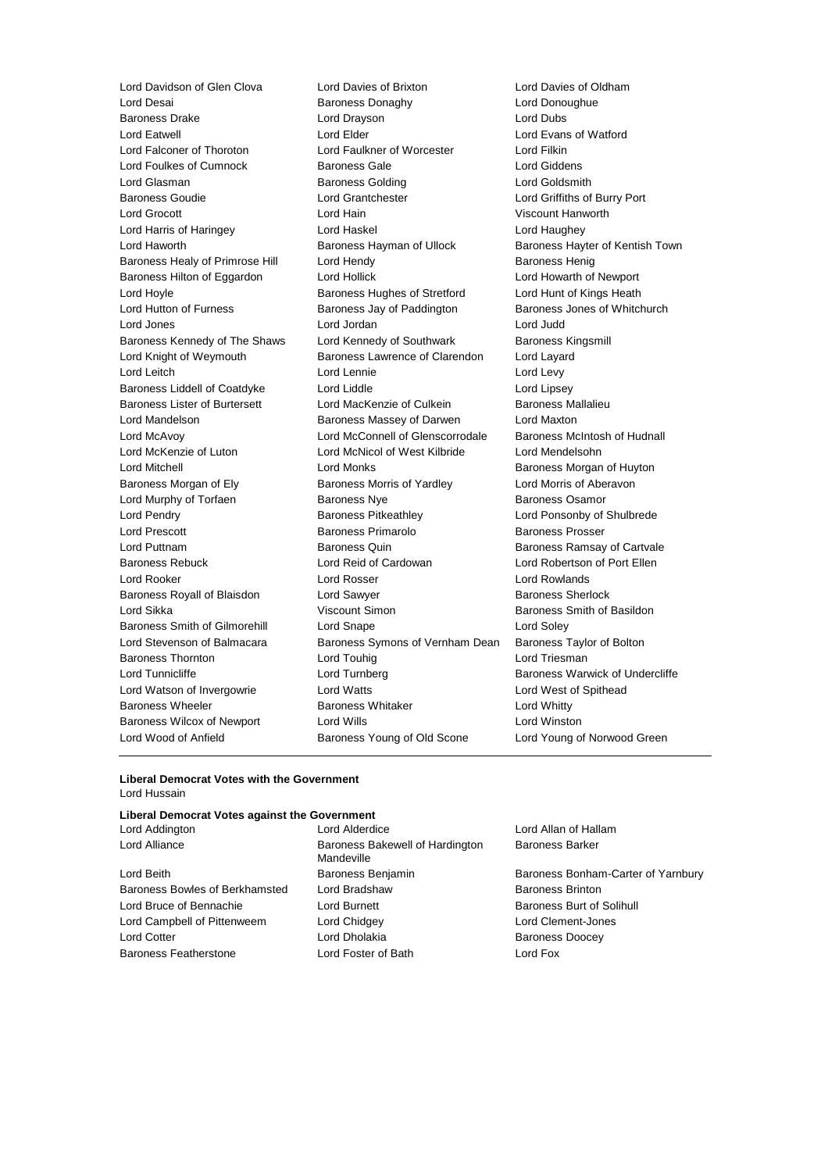Lord Davidson of Glen Clova Lord Davies of Brixton Lord Davies of Oldham Lord Glasman Baroness Golding Lord Wood of Anfield Baroness Young of Old Scone Lord Young of Norwood Green

Lord Desai **Baroness Donaghy** Lord Donoughue Baroness Drake Lord Drayson Lord Dubs Lord Eatwell Lord Elder Lord Evans of Watford Lord Falconer of Thoroton Lord Faulkner of Worcester Lord Filkin Lord Foulkes of Cumnock Baroness Gale Lord Giddens Baroness Goudie Lord Grantchester Lord Griffiths of Burry Port Lord Grocott Lord Hain Viscount Hanworth Lord Harris of Haringey Lord Haskel Lord Haughey Lord Haworth **Baroness Hayman of Ullock** Baroness Hayter of Kentish Town Baroness Healy of Primrose Hill Lord Hendy Contract Readers Baroness Henig Baroness Hilton of Eggardon Lord Hollick Lord Howarth of Newport Lord Hoyle **Baroness Hughes of Stretford** Lord Hunt of Kings Heath Lord Hunt of Kings Heath Lord Hutton of Furness **Baroness Jay of Paddington** Baroness Jones of Whitchurch Lord Jones Lord Jordan Lord Judd Baroness Kennedy of The Shaws Lord Kennedy of Southwark Baroness Kingsmill Lord Knight of Weymouth **Baroness Lawrence of Clarendon** Lord Layard Lord Leitch Lord Lennie Lord Levy Baroness Liddell of Coatdyke Lord Liddle Lord Lipsey Baroness Lister of Burtersett Lord MacKenzie of Culkein Baroness Mallalieu Lord Mandelson Baroness Massey of Darwen Lord Maxton Lord McAvoy Lord McConnell of Glenscorrodale Baroness McIntosh of Hudnall Lord McKenzie of Luton Lord McNicol of West Kilbride Lord Mendelsohn Lord Mitchell **Lord Monks** Lord Monks **Baroness Morgan of Huyton** Baroness Morgan of Ely **Baroness Morris of Yardley** Lord Morris of Aberavon Lord Murphy of Torfaen **Baroness Nye** Baroness Osamor Lord Pendry **Baroness Pitkeathley Lord Ponsonby of Shulbrede** Lord Ponsonby of Shulbrede Lord Prescott Baroness Primarolo Baroness Prosser Lord Puttnam **Baroness Quin** Baroness Quin Baroness Ramsay of Cartvale Baroness Rebuck Lord Reid of Cardowan Lord Robertson of Port Ellen Lord Rooker Lord Rosser Lord Rowlands Baroness Royall of Blaisdon Lord Sawyer **Baroness Sherlock** Baroness Sherlock Lord Sikka **Viscount Simon Baroness Smith of Basildon Lord Sikka** Baroness Smith of Gilmorehill Lord Snape Lord Soley Lord Stevenson of Balmacara Baroness Symons of Vernham Dean Baroness Taylor of Bolton Baroness Thornton **Lord Touhig Lord Triesman** Lord Triesman Lord Tunnicliffe **Lord Turnberg** Lord Turnberg **Baroness Warwick of Undercliffe** Lord Watson of Invergowrie Lord Watts Lord West of Spithead Baroness Wheeler **Baroness Whitaker** Lord Whitty Baroness Wilcox of Newport Lord Wills **Lord Winston** 

#### **Liberal Democrat Votes with the Government** Lord Hussain

## **Liberal Democrat Votes against the Government**

| LUIU AUUIIIUIUII               | LUIU AIUCIUIUC                                | LUIU Alia       |
|--------------------------------|-----------------------------------------------|-----------------|
| <b>Lord Alliance</b>           | Baroness Bakewell of Hardington<br>Mandeville | <b>Baroness</b> |
| Lord Beith                     | Baroness Benjamin                             | <b>Baroness</b> |
| Baroness Bowles of Berkhamsted | Lord Bradshaw                                 | <b>Baroness</b> |
| Lord Bruce of Bennachie        | Lord Burnett                                  | <b>Baroness</b> |
| Lord Campbell of Pittenweem    | Lord Chidgey                                  | Lord Cler       |
| <b>Lord Cotter</b>             | Lord Dholakia                                 | <b>Baroness</b> |
| <b>Baroness Featherstone</b>   | Lord Foster of Bath                           | Lord Fox        |
|                                |                                               |                 |

Bakewell of Hardington dshaw **Baroness Brinton** dgey Lord Clement-Jones **Lord Cotter Lord Contract Contract Doocey** 

Lord Allan of Hallam Baroness Barker

Benjamin Baroness Bonham-Carter of Yarnbury nett **Baroness Burt of Solihull**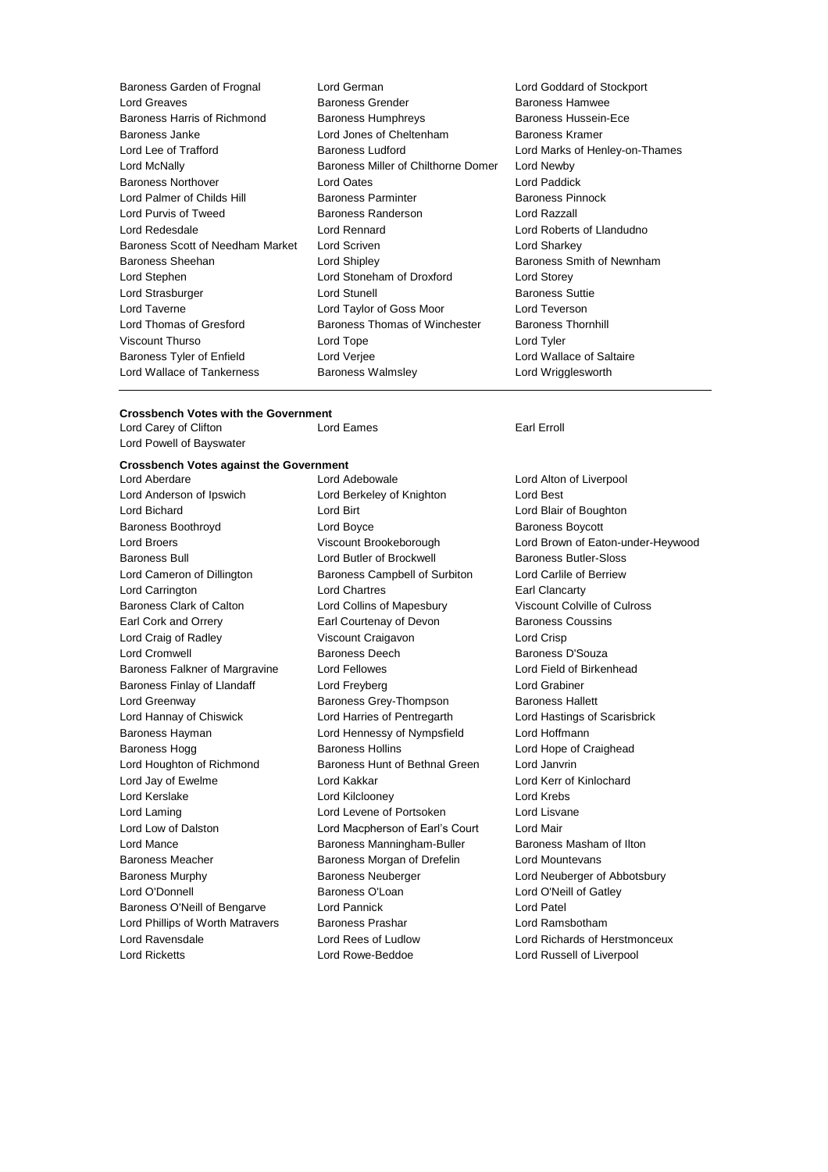| Baroness Garden of Frognal       | Lord German                         | Lord Goddar         |
|----------------------------------|-------------------------------------|---------------------|
| Lord Greaves                     | <b>Baroness Grender</b>             | Baroness Ha         |
| Baroness Harris of Richmond      | <b>Baroness Humphreys</b>           | <b>Baroness Hu</b>  |
| Baroness Janke                   | Lord Jones of Cheltenham            | <b>Baroness Kra</b> |
| Lord Lee of Trafford             | <b>Baroness Ludford</b>             | Lord Marks o        |
| Lord McNally                     | Baroness Miller of Chilthorne Domer | Lord Newby          |
| <b>Baroness Northover</b>        | <b>Lord Oates</b>                   | Lord Paddick        |
| Lord Palmer of Childs Hill       | <b>Baroness Parminter</b>           | <b>Baroness Pir</b> |
| Lord Purvis of Tweed             | Baroness Randerson                  | Lord Razzall        |
| Lord Redesdale                   | Lord Rennard                        | <b>Lord Roberts</b> |
| Baroness Scott of Needham Market | Lord Scriven                        | Lord Sharkey        |
| Baroness Sheehan                 | Lord Shipley                        | <b>Baroness Sn</b>  |
| Lord Stephen                     | Lord Stoneham of Droxford           | Lord Storey         |
| Lord Strasburger                 | Lord Stunell                        | <b>Baroness Su</b>  |
| Lord Taverne                     | Lord Taylor of Goss Moor            | <b>Lord Teverso</b> |
| Lord Thomas of Gresford          | Baroness Thomas of Winchester       | <b>Baroness Th</b>  |
| <b>Viscount Thurso</b>           | Lord Tope                           | Lord Tyler          |
| Baroness Tyler of Enfield        | Lord Verjee                         | Lord Wallace        |
| Lord Wallace of Tankerness       | <b>Baroness Walmsley</b>            | Lord Wriggle        |
|                                  |                                     |                     |

Lord Goddard of Stockport Baroness Hamwee Baroness Hussein-Ece Baroness Kramer Lord Marks of Henley-on-Thames Omer Lord Newby Lord Paddick **Baroness Pinnock** Lord Roberts of Llandudno Lord Sharkey Baroness Smith of Newnham Lord Storey Baroness Suttie Lord Teverson er Baroness Thornhill Lord Wallace of Saltaire Lord Wrigglesworth

## **Crossbench Votes with the Government<br>Lord Carev of Clifton Lord Eames**

Lord Carey of Clifton **Lord Eames** Earl Erroll Lord Powell of Bayswater

### **Crossbench Votes against the Government**

Lord Anderson of Ipswich Lord Berkeley of Knighton Lord Best Lord Bichard Lord Birt Lord Blair of Boughton Baroness Boothroyd **Lord Boyce Baroness Boycott Baroness Boycott** Baroness Bull Lord Butler of Brockwell Baroness Butler-Sloss Lord Cameron of Dillington Baroness Campbell of Surbiton Lord Carlile of Berriew Lord Carrington Lord Chartres Earl Clancarty Baroness Clark of Calton Lord Collins of Mapesbury Viscount Colville of Culross Earl Cork and Orrery **Earl Courtenay of Devon** Baroness Coussins Lord Craig of Radley Viscount Craigavon Lord Crisp Lord Cromwell Baroness Deech Baroness D'Souza Baroness Falkner of Margravine Lord Fellowes Lord Field of Birkenhead Baroness Finlay of Llandaff Lord Freyberg Communication Cord Grabiner Lord Greenway **Baroness Grey-Thompson** Baroness Hallett Lord Hannay of Chiswick Lord Harries of Pentregarth Lord Hastings of Scarisbrick Baroness Hayman Lord Hennessy of Nympsfield Lord Hoffmann Baroness Hogg **Baroness Hollins** Baroness Hollins **Lord Hope of Craighead** Lord Houghton of Richmond Baroness Hunt of Bethnal Green Lord Janvrin Lord Jay of Ewelme Lord Kakkar Lord Kerr of Kinlochard Lord Kerslake Lord Kilclooney Lord Krebs Lord Laming **Lord Levene of Portsoken** Lord Lisvane Lord Low of Dalston Lord Macpherson of Earl's Court Lord Mair Lord Mance **Baroness Manningham-Buller** Baroness Masham of Ilton Baroness Meacher **Baroness Morgan of Drefelin** Lord Mountevans Baroness Murphy Baroness Neuberger Lord Neuberger of Abbotsbury Lord O'Donnell **Baroness O'Loan** Baroness O'Loan Lord O'Neill of Gatley Baroness O'Neill of Bengarve Lord Pannick Lord Patel Lord Phillips of Worth Matravers Baroness Prashar Corporation Ramsbotham Lord Ravensdale Lord Rees of Ludlow Lord Richards of Herstmonceux Lord Ricketts Lord Rowe-Beddoe Lord Russell of Liverpool

Lord Aberdare Lord Adebowale Lord Alton of Liverpool

Lord Broers Viscount Brookeborough Lord Brown of Eaton-under-Heywood